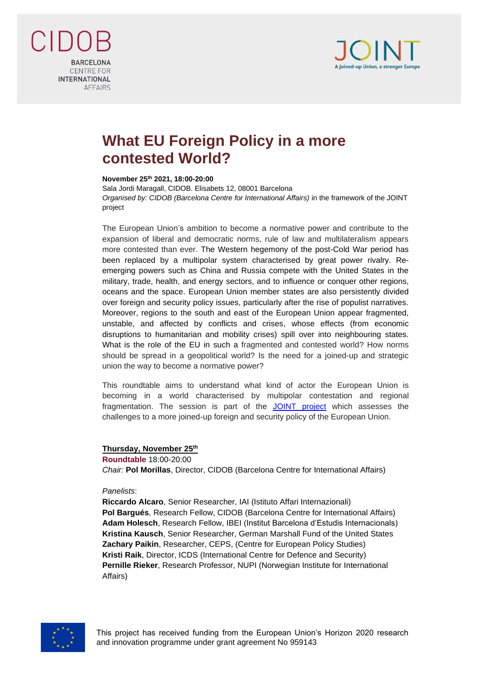

**BARCELONA** CENTRE FOR **INTERNATIONAL AFFAIRS** 

## **What EU Foreign Policy in a more contested World?**

## **November 25th 2021, 18:00-20:00**

Sala Jordi Maragall, CIDOB. Elisabets 12, 08001 Barcelona *Organised by: CIDOB (Barcelona Centre for International Affairs)* in the framework of the JOINT project

The European Union's ambition to become a normative power and contribute to the expansion of liberal and democratic norms, rule of law and multilateralism appears more contested than ever. The Western hegemony of the post-Cold War period has been replaced by a multipolar system characterised by great power rivalry. Reemerging powers such as China and Russia compete with the United States in the military, trade, health, and energy sectors, and to influence or conquer other regions, oceans and the space. European Union member states are also persistently divided over foreign and security policy issues, particularly after the rise of populist narratives. Moreover, regions to the south and east of the European Union appear fragmented, unstable, and affected by conflicts and crises, whose effects (from economic disruptions to humanitarian and mobility crises) spill over into neighbouring states. What is the role of the EU in such a fragmented and contested world? How norms should be spread in a geopolitical world? Is the need for a joined-up and strategic union the way to become a normative power?

This roundtable aims to understand what kind of actor the European Union is becoming in a world characterised by multipolar contestation and regional fragmentation. The session is part of the [JOINT](mailto:https://www.jointproject.eu/) project which assesses the challenges to a more joined-up foreign and security policy of the European Union.

## **Thursday, November 25 th**

**Roundtable** 18:00-20:00 *Chair:* **Pol Morillas**, Director, CIDOB (Barcelona Centre for International Affairs)

## *Panelists*:

**Riccardo Alcaro**, Senior Researcher, IAI (Istituto Affari Internazionali) **Pol Bargués**, Research Fellow, CIDOB (Barcelona Centre for International Affairs) **Adam Holesch**, Research Fellow, IBEI (Institut Barcelona d'Estudis Internacionals) **Kristina Kausch**, Senior Researcher, German Marshall Fund of the United States **Zachary Paikin**, Researcher, CEPS, (Centre for European Policy Studies) **Kristi Raik**, Director, ICDS (International Centre for Defence and Security) **Pernille Rieker**, Research Professor, NUPI (Norwegian Institute for International Affairs)